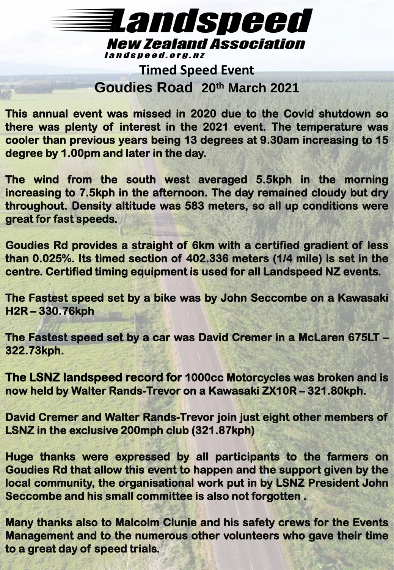### Landsneed **New Zealand Association** landspeed.org.nz

**Timed Speed Event Goudies Road 20th March 2021**

**This annual event was missed in 2020 due to the Covid shutdown so there was plenty of interest in the 2021 event. The temperature was cooler than previous years being 13 degrees at 9.30am increasing to 15 degree by 1.00pm and later in the day.**

**The wind from the south west averaged 5.5kph in the morning increasing to 7.5kph in the afternoon. The day remained cloudy but dry throughout. Density altitude was 583 meters, so all up conditions were great for fast speeds.**

**Goudies Rd provides a straight of 6km with a certified gradient of less than 0.025%. Its timed section of 402.336 meters (1/4 mile) is set in the centre. Certified timing equipment is used for all Landspeed NZ events.**

**The Fastest speed set by a bike was by John Seccombe on a Kawasaki H2R – 330.76kph**

**The Fastest speed set by a car was David Cremer in a McLaren 675LT – 322.73kph.**

**The LSNZ landspeed record for 1000cc Motorcycles was broken and is now held by Walter Rands-Trevor on a Kawasaki ZX10R – 321.80kph.**

**David Cremer and Walter Rands-Trevor join just eight other members of LSNZ in the exclusive 200mph club (321.87kph)**

**Huge thanks were expressed by all participants to the farmers on Goudies Rd that allow this event to happen and the support given by the local community, the organisational work put in by LSNZ President John Seccombe and his small committee is also not forgotten .**

**Many thanks also to Malcolm Clunie and his safety crews for the Events Management and to the numerous other volunteers who gave their time to a great day of speed trials.**